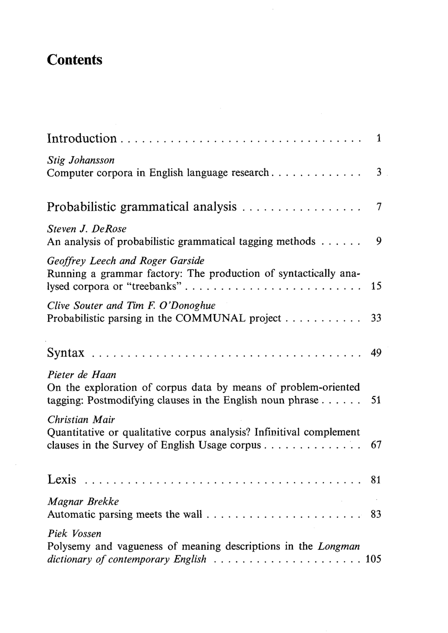## **Contents**

 $\bar{z}$ 

| 1                                                                                                                                                                            |  |
|------------------------------------------------------------------------------------------------------------------------------------------------------------------------------|--|
| Stig Johansson<br>Computer corpora in English language research<br>3                                                                                                         |  |
| Probabilistic grammatical analysis<br>7                                                                                                                                      |  |
| Steven J. DeRose<br>9<br>An analysis of probabilistic grammatical tagging methods $\dots \dots$                                                                              |  |
| Geoffrey Leech and Roger Garside<br>Running a grammar factory: The production of syntactically ana-<br>lysed corpora or "treebanks"<br>15                                    |  |
| Clive Souter and Tim F. O'Donoghue<br>Probabilistic parsing in the COMMUNAL project $\dots \dots \dots$<br>33                                                                |  |
|                                                                                                                                                                              |  |
| Pieter de Haan<br>On the exploration of corpus data by means of problem-oriented<br>tagging: Postmodifying clauses in the English noun phrase $\ldots$ 51                    |  |
| Christian Mair<br>Quantitative or qualitative corpus analysis? Infinitival complement<br>clauses in the Survey of English Usage corpus $\ldots \ldots \ldots \ldots$ 67      |  |
| Lexis                                                                                                                                                                        |  |
| Magnar Brekke                                                                                                                                                                |  |
| Piek Vossen<br>Polysemy and vagueness of meaning descriptions in the Longman<br>dictionary of contemporary English $\ldots \ldots \ldots \ldots \ldots \ldots \ldots \ldots$ |  |

 $\hat{\mathcal{A}}$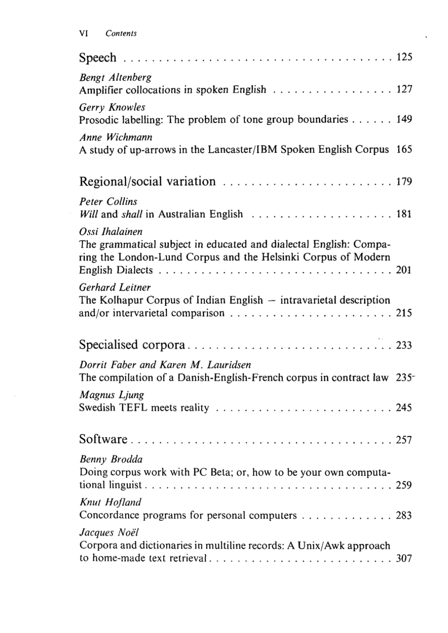$\sim$ 

| <b>Bengt Altenberg</b><br>Amplifier collocations in spoken English 127                                                                               |  |
|------------------------------------------------------------------------------------------------------------------------------------------------------|--|
| Gerry Knowles<br>Prosodic labelling: The problem of tone group boundaries 149                                                                        |  |
| Anne Wichmann<br>A study of up-arrows in the Lancaster/IBM Spoken English Corpus 165                                                                 |  |
|                                                                                                                                                      |  |
| <b>Peter Collins</b>                                                                                                                                 |  |
| Ossi Ihalainen<br>The grammatical subject in educated and dialectal English: Compa-<br>ring the London-Lund Corpus and the Helsinki Corpus of Modern |  |
| Gerhard Leitner<br>The Kolhapur Corpus of Indian English $-$ intravarietal description                                                               |  |
|                                                                                                                                                      |  |
| Dorrit Faber and Karen M. Lauridsen<br>The compilation of a Danish-English-French corpus in contract law 235                                         |  |
| Magnus Ljung                                                                                                                                         |  |
|                                                                                                                                                      |  |
| Benny Brodda<br>Doing corpus work with PC Beta; or, how to be your own computa-                                                                      |  |
| Knut Hofland<br>Concordance programs for personal computers $\ldots \ldots \ldots \ldots$ 283                                                        |  |
| Jacques Noël<br>Corpora and dictionaries in multiline records: A Unix/Awk approach                                                                   |  |

 $\ddot{\phantom{0}}$